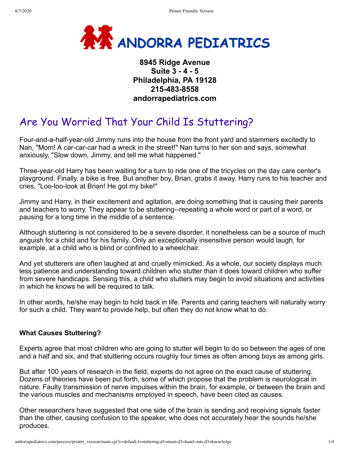

# **8945 Ridge Avenue Suite 3 - 4 - 5 Philadelphia, PA 19128 215-483-8558 andorrapediatrics.com**

# Are You Worried That Your Child Is Stuttering?

Four-and-a-half-year-old Jimmy runs into the house from the front yard and stammers excitedly to Nan, "Mom! A car-car-car had a wreck in the street!" Nan turns to her son and says, somewhat anxiously, "Slow down, Jimmy, and tell me what happened."

Three-year-old Harry has been waiting for a turn to ride one of the tricycles on the day care center's playground. Finally, a bike is free. But another boy, Brian, grabs it away. Harry runs to his teacher and cries, "Loo-loo-look at Brian! He got my bike!"

Jimmy and Harry, in their excitement and agitation, are doing something that is causing their parents and teachers to worry. They appear to be stuttering--repeating a whole word or part of a word, or pausing for a long time in the middle of a sentence.

Although stuttering is not considered to be a severe disorder, it nonetheless can be a source of much anguish for a child and for his family. Only an exceptionally insensitive person would laugh, for example, at a child who is blind or confined to a wheelchair.

And yet stutterers are often laughed at and cruelly mimicked. As a whole, our society displays much less patience and understanding toward children who stutter than it does toward children who suffer from severe handicaps. Sensing this, a child who stutters may begin to avoid situations and activities in which he knows he will be required to talk.

In other words, he/she may begin to hold back in life. Parents and caring teachers will naturally worry for such a child. They want to provide help, but often they do not know what to do.

### **What Causes Stuttering?**

Experts agree that most children who are going to stutter will begin to do so between the ages of one and a half and six, and that stuttering occurs roughly four times as often among boys as among girls.

But after 100 years of research in the field, experts do not agree on the exact cause of stuttering. Dozens of theories have been put forth, some of which propose that the problem is neurological in nature. Faulty transmission of nerve impulses within the brain, for example, or between the brain and the various muscles and mechanisms employed in speech, have been cited as causes.

Other researchers have suggested that one side of the brain is sending and receiving signals faster than the other, causing confusion to the speaker, who does not accurately hear the sounds he/she produces.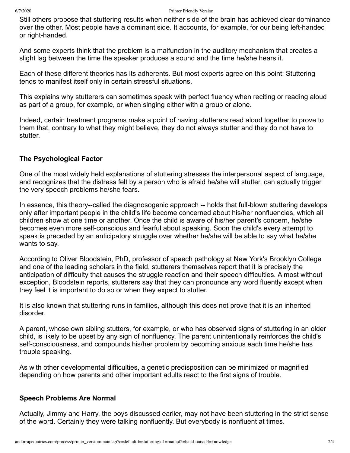Still others propose that stuttering results when neither side of the brain has achieved clear dominance over the other. Most people have a dominant side. It accounts, for example, for our being left-handed or right-handed.

And some experts think that the problem is a malfunction in the auditory mechanism that creates a slight lag between the time the speaker produces a sound and the time he/she hears it.

Each of these different theories has its adherents. But most experts agree on this point: Stuttering tends to manifest itself only in certain stressful situations.

This explains why stutterers can sometimes speak with perfect fluency when reciting or reading aloud as part of a group, for example, or when singing either with a group or alone.

Indeed, certain treatment programs make a point of having stutterers read aloud together to prove to them that, contrary to what they might believe, they do not always stutter and they do not have to stutter.

#### **The Psychological Factor**

One of the most widely held explanations of stuttering stresses the interpersonal aspect of language, and recognizes that the distress felt by a person who is afraid he/she will stutter, can actually trigger the very speech problems he/she fears.

In essence, this theory--called the diagnosogenic approach -- holds that full-blown stuttering develops only after important people in the child's life become concerned about his/her nonfluencies, which all children show at one time or another. Once the child is aware of his/her parent's concern, he/she becomes even more self-conscious and fearful about speaking. Soon the child's every attempt to speak is preceded by an anticipatory struggle over whether he/she will be able to say what he/she wants to say.

According to Oliver Bloodstein, PhD, professor of speech pathology at New York's Brooklyn College and one of the leading scholars in the field, stutterers themselves report that it is precisely the anticipation of difficulty that causes the struggle reaction and their speech difficulties. Almost without exception, Bloodstein reports, stutterers say that they can pronounce any word fluently except when they feel it is important to do so or when they expect to stutter.

It is also known that stuttering runs in families, although this does not prove that it is an inherited disorder.

A parent, whose own sibling stutters, for example, or who has observed signs of stuttering in an older child, is likely to be upset by any sign of nonfluency. The parent unintentionally reinforces the child's self-consciousness, and compounds his/her problem by becoming anxious each time he/she has trouble speaking.

As with other developmental difficulties, a genetic predisposition can be minimized or magnified depending on how parents and other important adults react to the first signs of trouble.

#### **Speech Problems Are Normal**

Actually, Jimmy and Harry, the boys discussed earlier, may not have been stuttering in the strict sense of the word. Certainly they were talking nonfluently. But everybody is nonfluent at times.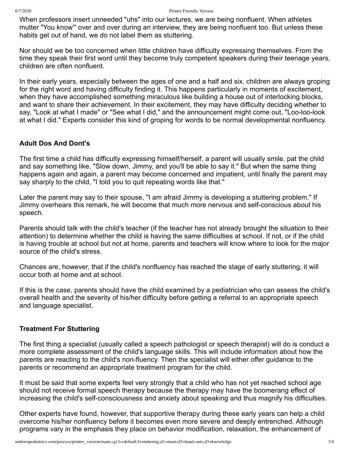When professors insert unneeded "uhs" into our lectures, we are being nonfluent. When athletes mutter "You know"' over and over during an interview, they are being nonfluent too. But unless these habits get out of hand, we do not label them as stuttering.

Nor should we be too concerned when little children have difficulty expressing themselves. From the time they speak their first word until they become truly competent speakers during their teenage years, children are often nonfluent.

In their early years, especially between the ages of one and a half and six, children are always groping for the right word and having difficulty finding it. This happens particularly in moments of excitement, when they have accomplished something miraculous like building a house out of interlocking blocks, and want to share their achievement. In their excitement, they may have difficulty deciding whether to say, "Look at what I made" or "See what I did," and the announcement might come out, "Loo-loo-look at what I did." Experts consider this kind of groping for words to be normal developmental nonfluency.

## **Adult Dos And Dont's**

The first time a child has difficulty expressing himself/herself, a parent will usually smile, pat the child and say something like, "Slow down, Jimmy, and you'll be able to say it." But when the same thing happens again and again, a parent may become concerned and impatient, until finally the parent may say sharply to the child, "I told you to quit repeating words like that."

Later the parent may say to their spouse, "I am afraid Jimmy is developing a stuttering problem." If Jimmy overhears this remark, he will become that much more nervous and self-conscious about his speech.

Parents should talk with the child's teacher (if the teacher has not already brought the situation to their attention) to determine whether the child is having the same difficulties at school. If not, or if the child is having trouble at school but not at home, parents and teachers will know where to look for the major source of the child's stress.

Chances are, however, that if the child's nonfluency has reached the stage of early stuttering, it will occur both at home and at school.

If this is the case, parents should have the child examined by a pediatrician who can assess the child's overall health and the severity of his/her difficulty before getting a referral to an appropriate speech and language specialist.

#### **Treatment For Stuttering**

The first thing a specialist (usually called a speech pathologist or speech therapist) will do is conduct a more complete assessment of the child's language skills. This will include information about how the parents are reacting to the child's non-fluency. Then the specialist will either offer guidance to the parents or recommend an appropriate treatment program for the child.

It must be said that some experts feel very strongly that a child who has not yet reached school age should not receive formal speech therapy because the therapy may have the boomerang effect of increasing the child's self-consciousness and anxiety about speaking and thus magnify his difficulties.

Other experts have found, however, that supportive therapy during these early years can help a child overcome his/her nonfluency before it becomes even more severe and deeply entrenched. Although programs vary in the emphasis they place on behavior modification, relaxation, the enhancement of